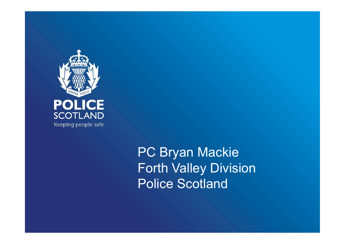

PC Bryan Mackie Forth Valley Division Police Scotland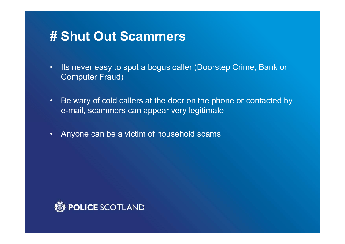- Its never easy to spot a bogus caller (Doorstep Crime, Bank or Computer Fraud)
- Be wary of cold callers at the door on the phone or contacted by e-mail, scammers can appear very legitimate
- Anyone can be a victim of household scams

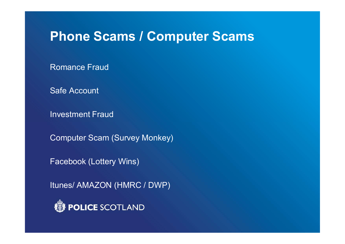#### Phone Scams / Computer Scams

Romance Fraud

Safe Account

Investment Fraud

Computer Scam (Survey Monkey)

Facebook (Lottery Wins)

Itunes/ AMAZON (HMRC / DWP)

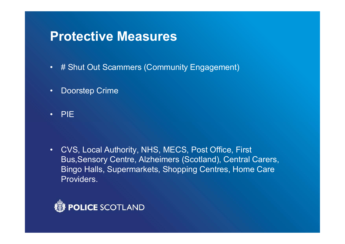#### Protective Measures

- # Shut Out Scammers (Community Engagement)
- Doorstep Crime
- PIE

• CVS, Local Authority, NHS, MECS, Post Office, First Bus,Sensory Centre, Alzheimers (Scotland), Central Carers, Bingo Halls, Supermarkets, Shopping Centres, Home Care Providers.

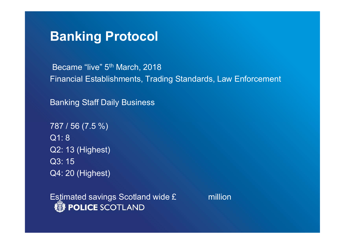### Banking Protocol

Became "live" 5<sup>th</sup> March, 2018 Financial Establishments, Trading Standards, Law Enforcement

Banking Staff Daily Business

787 / 56 (7.5 %) Q1: 8 Q2: 13 (Highest) Q3: 15 Q4: 20 (Highest)

Estimated savings Scotland wide £ million<br>
WPOLICE SCOTLAND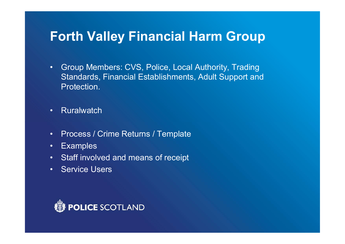## Forth Valley Financial Harm Group

- Group Members: CVS, Police, Local Authority, Trading Standards, Financial Establishments, Adult Support and Protection.
- Ruralwatch
- Process / Crime Returns / Template
- Examples
- Staff involved and means of receipt
- Service Users

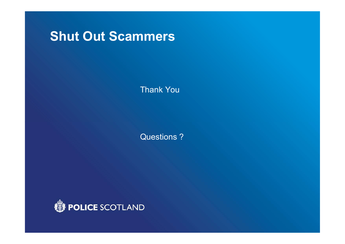Thank You

Questions ?

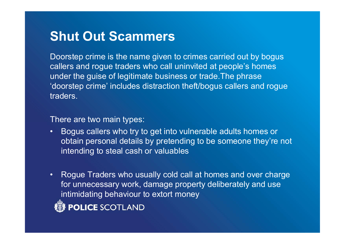Doorstep crime is the name given to crimes carried out by bogus callers and rogue traders who call uninvited at people's homes under the guise of legitimate business or trade.The phrase 'doorstep crime' includes distraction theft/bogus callers and rogue traders.

There are two main types:

- Bogus callers who try to get into vulnerable adults homes or obtain personal details by pretending to be someone they're not intending to steal cash or valuables
- Rogue Traders who usually cold call at homes and over charge for unnecessary work, damage property deliberately and use intimidating behaviour to extort money **POLICE SCOTLAND**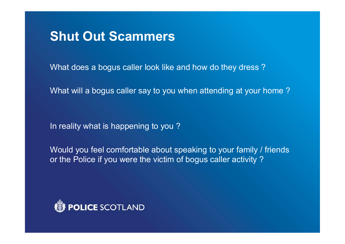What does a bogus caller look like and how do they dress ?

What will a bogus caller say to you when attending at your home ?

In reality what is happening to you ?

Would you feel comfortable about speaking to your family / friends or the Police if you were the victim of bogus caller activity ?

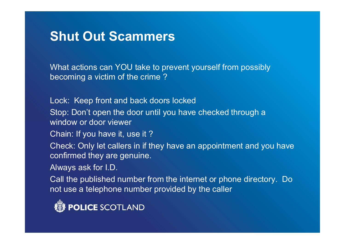What actions can YOU take to prevent yourself from possibly becoming a victim of the crime ?

Lock: Keep front and back doors locked

Stop: Don't open the door until you have checked through a window or door viewer

Chain: If you have it, use it ?

Check: Only let callers in if they have an appointment and you have confirmed they are genuine.

Always ask for I.D.

Call the published number from the internet or phone directory. Do not use a telephone number provided by the caller

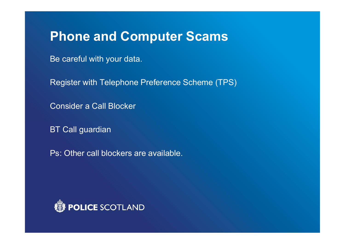## **Phone and Computer Scams**

Be careful with your data.

Register with Telephone Preference Scheme (TPS)

Consider a Call Blocker

BT Call guardian

Ps: Other call blockers are available.